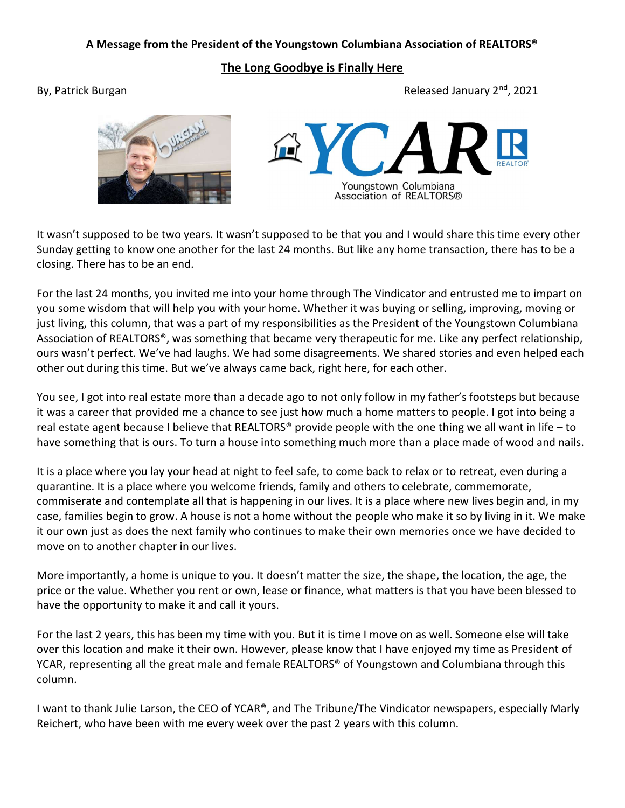## A Message from the President of the Youngstown Columbiana Association of REALTORS®

The Long Goodbye is Finally Here

By, Patrick Burgan Burgan Released January 2<sup>nd</sup>, 2021





It wasn't supposed to be two years. It wasn't supposed to be that you and I would share this time every other Sunday getting to know one another for the last 24 months. But like any home transaction, there has to be a closing. There has to be an end.

For the last 24 months, you invited me into your home through The Vindicator and entrusted me to impart on you some wisdom that will help you with your home. Whether it was buying or selling, improving, moving or just living, this column, that was a part of my responsibilities as the President of the Youngstown Columbiana Association of REALTORS®, was something that became very therapeutic for me. Like any perfect relationship, ours wasn't perfect. We've had laughs. We had some disagreements. We shared stories and even helped each other out during this time. But we've always came back, right here, for each other.

You see, I got into real estate more than a decade ago to not only follow in my father's footsteps but because it was a career that provided me a chance to see just how much a home matters to people. I got into being a real estate agent because I believe that REALTORS® provide people with the one thing we all want in life – to have something that is ours. To turn a house into something much more than a place made of wood and nails.

It is a place where you lay your head at night to feel safe, to come back to relax or to retreat, even during a quarantine. It is a place where you welcome friends, family and others to celebrate, commemorate, commiserate and contemplate all that is happening in our lives. It is a place where new lives begin and, in my case, families begin to grow. A house is not a home without the people who make it so by living in it. We make it our own just as does the next family who continues to make their own memories once we have decided to move on to another chapter in our lives.

More importantly, a home is unique to you. It doesn't matter the size, the shape, the location, the age, the price or the value. Whether you rent or own, lease or finance, what matters is that you have been blessed to have the opportunity to make it and call it yours.

For the last 2 years, this has been my time with you. But it is time I move on as well. Someone else will take over this location and make it their own. However, please know that I have enjoyed my time as President of YCAR, representing all the great male and female REALTORS<sup>®</sup> of Youngstown and Columbiana through this column.

I want to thank Julie Larson, the CEO of YCAR®, and The Tribune/The Vindicator newspapers, especially Marly Reichert, who have been with me every week over the past 2 years with this column.